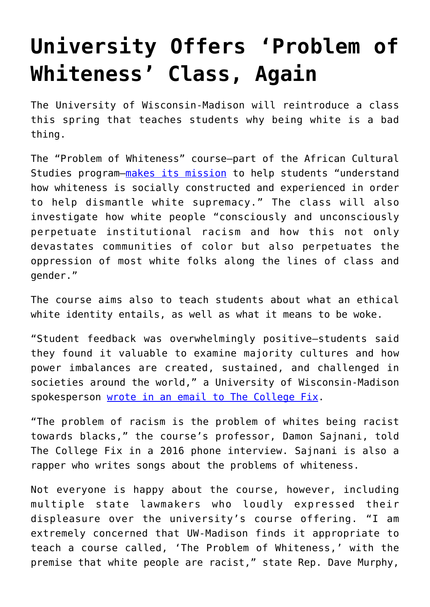## **[University Offers 'Problem of](https://intellectualtakeout.org/2017/12/university-offers-problem-of-whiteness-class-again/) [Whiteness' Class, Again](https://intellectualtakeout.org/2017/12/university-offers-problem-of-whiteness-class-again/)**

The University of Wisconsin-Madison will reintroduce a class this spring that teaches students why being white is a bad thing.

The "Problem of Whiteness" course—part of the African Cultural Studies program—[makes its mission](https://african.wisc.edu/content/african-405-problem-whiteness) to help students "understand how whiteness is socially constructed and experienced in order to help dismantle white supremacy." The class will also investigate how white people "consciously and unconsciously perpetuate institutional racism and how this not only devastates communities of color but also perpetuates the oppression of most white folks along the lines of class and gender."

The course aims also to teach students about what an ethical white identity entails, as well as what it means to be woke.

"Student feedback was overwhelmingly positive—students said they found it valuable to examine majority cultures and how power imbalances are created, sustained, and challenged in societies around the world," a University of Wisconsin-Madison spokesperson [wrote in an email to The College Fix.](http://www.thecollegefix.com/post/40421/)

"The problem of racism is the problem of whites being racist towards blacks," the course's professor, Damon Sajnani, told The College Fix in a 2016 phone interview. Sajnani is also a rapper who writes songs about the problems of whiteness.

Not everyone is happy about the course, however, including multiple state lawmakers who loudly expressed their displeasure over the university's course offering. "I am extremely concerned that UW-Madison finds it appropriate to teach a course called, 'The Problem of Whiteness,' with the premise that white people are racist," state Rep. Dave Murphy,